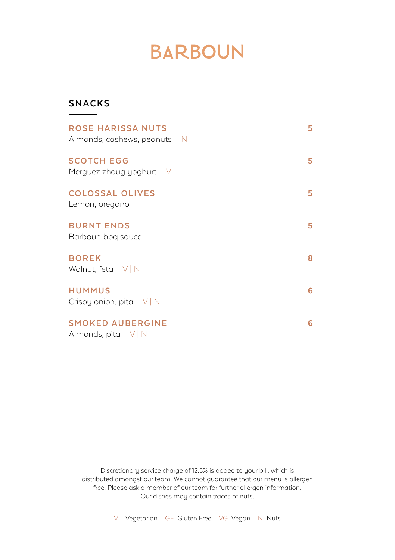## **BARBOUN**

## **SNACKS**

| <b>ROSE HARISSA NUTS</b><br>Almonds, cashews, peanuts N | 5  |
|---------------------------------------------------------|----|
| <b>SCOTCH EGG</b><br>Merguez zhoug yoghurt V            | 5. |
| <b>COLOSSAL OLIVES</b><br>Lemon, oregano                | 5  |
| <b>BURNT ENDS</b><br>Barboun bbg sauce                  | 5. |
| <b>BOREK</b><br>Walnut, feta $V/N$                      | 8  |
| <b>HUMMUS</b><br>Crispy onion, pita $V/N$               | 6  |
| <b>SMOKED AUBERGINE</b><br>Almonds, pita $V/N$          | 6  |

Discretionary service charge of 12.5% is added to your bill, which is distributed amongst our team. We cannot guarantee that our menu is allergen free. Please ask a member of our team for further allergen information. Our dishes may contain traces of nuts.

V Vegetarian GF Gluten Free VG Vegan N Nuts